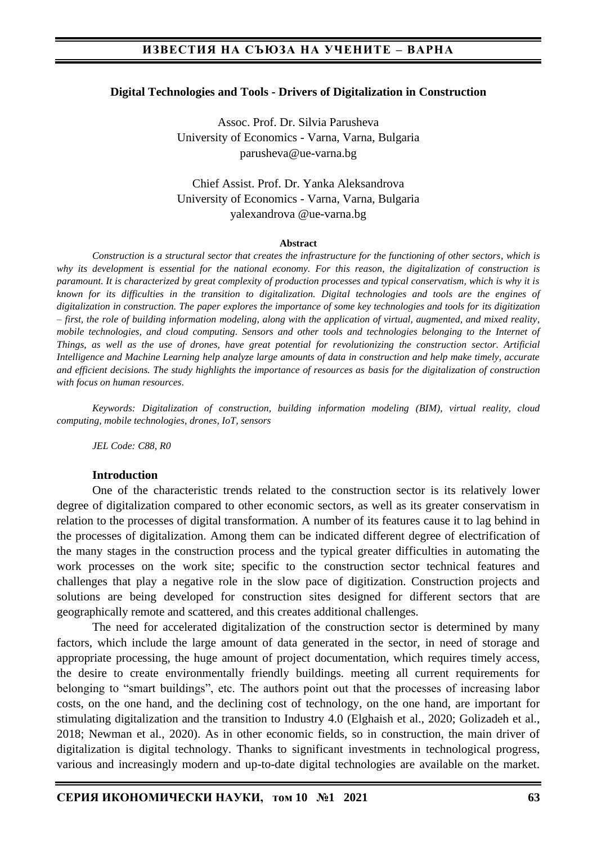#### **Digital Technologies and Tools - Drivers of Digitalization in Construction**

Assoc. Prof. Dr. Silvia Parusheva University of Economics - Varna, Varna, Bulgaria parusheva@ue-varna.bg

Chief Assist. Prof. Dr. Yanka Aleksandrova University of Economics - Varna, Varna, Bulgaria yalexandrova @ue-varna.bg

#### **Abstract**

*Construction is a structural sector that creates the infrastructure for the functioning of other sectors, which is why its development is essential for the national economy. For this reason, the digitalization of construction is paramount. It is characterized by great complexity of production processes and typical conservatism, which is why it is known for its difficulties in the transition to digitalization. Digital technologies and tools are the engines of digitalization in construction. The paper explores the importance of some key technologies and tools for its digitization – first, the role of building information modeling, along with the application of virtual, augmented, and mixed reality, mobile technologies, and cloud computing. Sensors and other tools and technologies belonging to the Internet of Things, as well as the use of drones, have great potential for revolutionizing the construction sector. Artificial Intelligence and Machine Learning help analyze large amounts of data in construction and help make timely, accurate and efficient decisions. The study highlights the importance of resources as basis for the digitalization of construction with focus on human resources*.

*Keywords: Digitalization of construction, building information modeling (BIM), virtual reality, cloud computing, mobile technologies, drones, IoT, sensors*

*JEL Code: C88, R0*

#### **Introduction**

One of the characteristic trends related to the construction sector is its relatively lower degree of digitalization compared to other economic sectors, as well as its greater conservatism in relation to the processes of digital transformation. A number of its features cause it to lag behind in the processes of digitalization. Among them can be indicated different degree of electrification of the many stages in the construction process and the typical greater difficulties in automating the work processes on the work site; specific to the construction sector technical features and challenges that play a negative role in the slow pace of digitization. Construction projects and solutions are being developed for construction sites designed for different sectors that are geographically remote and scattered, and this creates additional challenges.

The need for accelerated digitalization of the construction sector is determined by many factors, which include the large amount of data generated in the sector, in need of storage and appropriate processing, the huge amount of project documentation, which requires timely access, the desire to create environmentally friendly buildings. meeting all current requirements for belonging to "smart buildings", etc. The authors point out that the processes of increasing labor costs, on the one hand, and the declining cost of technology, on the one hand, are important for stimulating digitalization and the transition to Industry 4.0 (Elghaish et al., 2020; Golizadeh et al., 2018; Newman et al., 2020). As in other economic fields, so in construction, the main driver of digitalization is digital technology. Thanks to significant investments in technological progress, various and increasingly modern and up-to-date digital technologies are available on the market.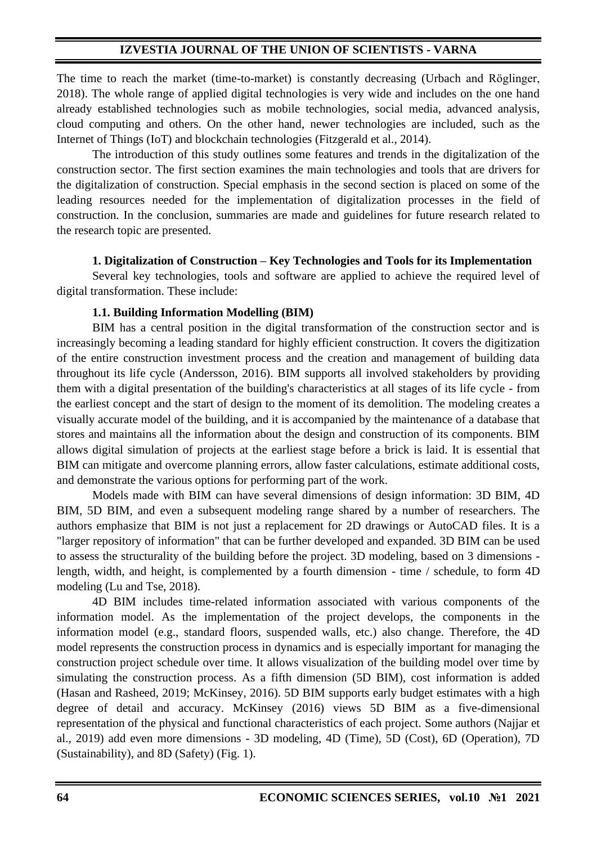The time to reach the market (time-to-market) is constantly decreasing (Urbach and Röglinger, 2018). The whole range of applied digital technologies is very wide and includes on the one hand already established technologies such as mobile technologies, social media, advanced analysis, cloud computing and others. On the other hand, newer technologies are included, such as the Internet of Things (IoT) and blockchain technologies (Fitzgerald et al., 2014).

The introduction of this study outlines some features and trends in the digitalization of the construction sector. The first section examines the main technologies and tools that are drivers for the digitalization of construction. Special emphasis in the second section is placed on some of the leading resources needed for the implementation of digitalization processes in the field of construction. In the conclusion, summaries are made and guidelines for future research related to the research topic are presented.

### **1. Digitalization of Construction – Key Technologies and Tools for its Implementation**

Several key technologies, tools and software are applied to achieve the required level of digital transformation. These include:

### **1.1. Building Information Modelling (BIM)**

BIM has a central position in the digital transformation of the construction sector and is increasingly becoming a leading standard for highly efficient construction. It covers the digitization of the entire construction investment process and the creation and management of building data throughout its life cycle (Andersson, 2016). BIM supports all involved stakeholders by providing them with a digital presentation of the building's characteristics at all stages of its life cycle - from the earliest concept and the start of design to the moment of its demolition. The modeling creates a visually accurate model of the building, and it is accompanied by the maintenance of a database that stores and maintains all the information about the design and construction of its components. BIM allows digital simulation of projects at the earliest stage before a brick is laid. It is essential that BIM can mitigate and overcome planning errors, allow faster calculations, estimate additional costs, and demonstrate the various options for performing part of the work.

Models made with BIM can have several dimensions of design information: 3D BIM, 4D BIM, 5D BIM, and even a subsequent modeling range shared by a number of researchers. The authors emphasize that BIM is not just a replacement for 2D drawings or AutoCAD files. It is a "larger repository of information" that can be further developed and expanded. 3D BIM can be used to assess the structurality of the building before the project. 3D modeling, based on 3 dimensions length, width, and height, is complemented by a fourth dimension - time / schedule, to form 4D modeling (Lu and Tse, 2018).

4D BIM includes time-related information associated with various components of the information model. As the implementation of the project develops, the components in the information model (e.g., standard floors, suspended walls, etc.) also change. Therefore, the 4D model represents the construction process in dynamics and is especially important for managing the construction project schedule over time. It allows visualization of the building model over time by simulating the construction process. As a fifth dimension (5D BIM), cost information is added (Hasan and Rasheed, 2019; McKinsey, 2016). 5D BIM supports early budget estimates with a high degree of detail and accuracy. McKinsey (2016) views 5D BIM as a five-dimensional representation of the physical and functional characteristics of each project. Some authors (Najjar et al., 2019) add even more dimensions - 3D modeling, 4D (Time), 5D (Cost), 6D (Operation), 7D (Sustainability), and 8D (Safety) (Fig. 1).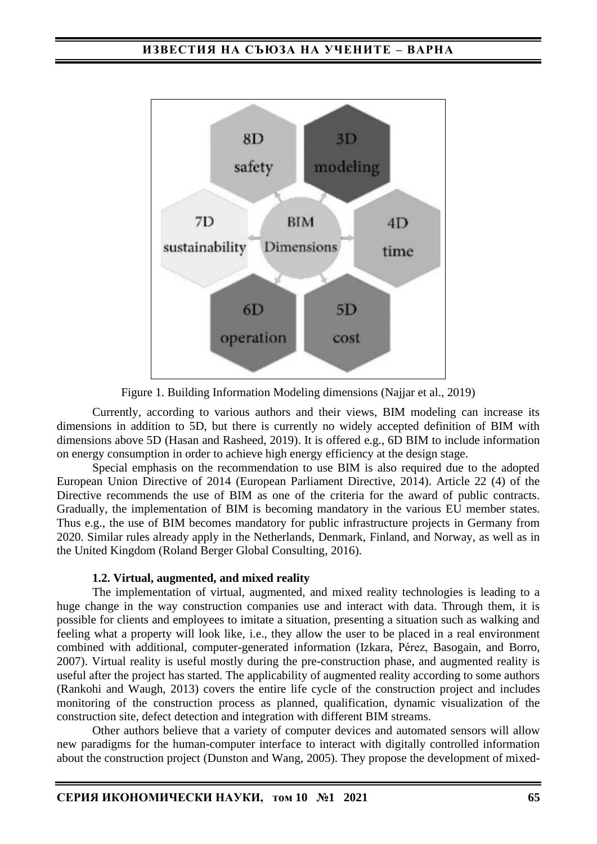

Figure 1. Building Information Modeling dimensions (Najjar et al., 2019)

Currently, according to various authors and their views, BIM modeling can increase its dimensions in addition to 5D, but there is currently no widely accepted definition of BIM with dimensions above 5D (Hasan and Rasheed, 2019). It is offered e.g., 6D BIM to include information on energy consumption in order to achieve high energy efficiency at the design stage.

Special emphasis on the recommendation to use BIM is also required due to the adopted European Union Directive of 2014 (European Parliament Directive, 2014). Article 22 (4) of the Directive recommends the use of BIM as one of the criteria for the award of public contracts. Gradually, the implementation of BIM is becoming mandatory in the various EU member states. Thus e.g., the use of BIM becomes mandatory for public infrastructure projects in Germany from 2020. Similar rules already apply in the Netherlands, Denmark, Finland, and Norway, as well as in the United Kingdom (Roland Berger Global Consulting, 2016).

### **1.2. Virtual, augmented, and mixed reality**

The implementation of virtual, augmented, and mixed reality technologies is leading to a huge change in the way construction companies use and interact with data. Through them, it is possible for clients and employees to imitate a situation, presenting a situation such as walking and feeling what a property will look like, i.e., they allow the user to be placed in a real environment combined with additional, computer-generated information (Izkara, Pérez, Basogain, and Borro, 2007). Virtual reality is useful mostly during the pre-construction phase, and augmented reality is useful after the project has started. The applicability of augmented reality according to some authors (Rankohi and Waugh, 2013) covers the entire life cycle of the construction project and includes monitoring of the construction process as planned, qualification, dynamic visualization of the construction site, defect detection and integration with different BIM streams.

Other authors believe that a variety of computer devices and automated sensors will allow new paradigms for the human-computer interface to interact with digitally controlled information about the construction project (Dunston and Wang, 2005). They propose the development of mixed-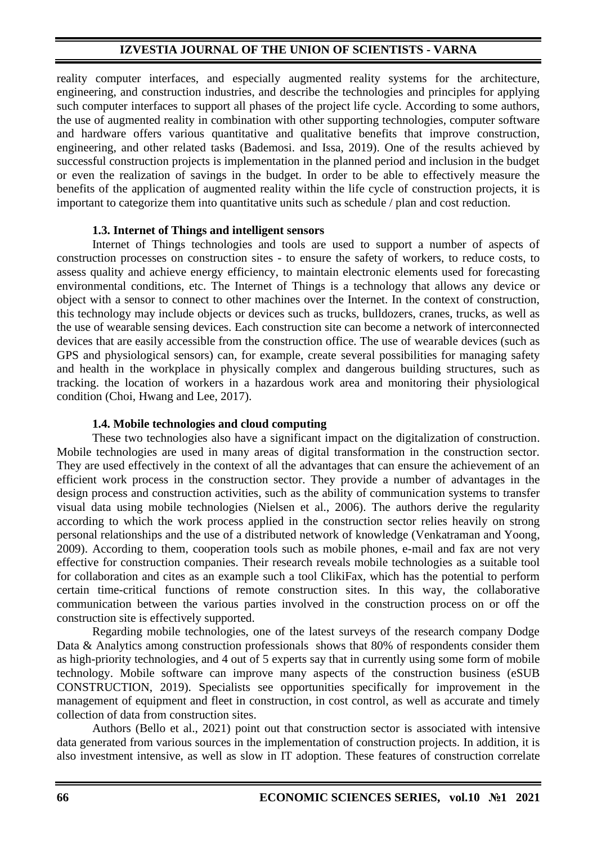reality computer interfaces, and especially augmented reality systems for the architecture, engineering, and construction industries, and describe the technologies and principles for applying such computer interfaces to support all phases of the project life cycle. According to some authors, the use of augmented reality in combination with other supporting technologies, computer software and hardware offers various quantitative and qualitative benefits that improve construction, engineering, and other related tasks (Bademosi. and Issa, 2019). One of the results achieved by successful construction projects is implementation in the planned period and inclusion in the budget or even the realization of savings in the budget. In order to be able to effectively measure the benefits of the application of augmented reality within the life cycle of construction projects, it is important to categorize them into quantitative units such as schedule / plan and cost reduction.

### **1.3. Internet of Things and intelligent sensors**

Internet of Things technologies and tools are used to support a number of aspects of construction processes on construction sites - to ensure the safety of workers, to reduce costs, to assess quality and achieve energy efficiency, to maintain electronic elements used for forecasting environmental conditions, etc. The Internet of Things is a technology that allows any device or object with a sensor to connect to other machines over the Internet. In the context of construction, this technology may include objects or devices such as trucks, bulldozers, cranes, trucks, as well as the use of wearable sensing devices. Each construction site can become a network of interconnected devices that are easily accessible from the construction office. The use of wearable devices (such as GPS and physiological sensors) can, for example, create several possibilities for managing safety and health in the workplace in physically complex and dangerous building structures, such as tracking. the location of workers in a hazardous work area and monitoring their physiological condition (Choi, Hwang and Lee, 2017).

#### **1.4. Mobile technologies and cloud computing**

These two technologies also have a significant impact on the digitalization of construction. Mobile technologies are used in many areas of digital transformation in the construction sector. They are used effectively in the context of all the advantages that can ensure the achievement of an efficient work process in the construction sector. They provide a number of advantages in the design process and construction activities, such as the ability of communication systems to transfer visual data using mobile technologies (Nielsen et al., 2006). The authors derive the regularity according to which the work process applied in the construction sector relies heavily on strong personal relationships and the use of a distributed network of knowledge (Venkatraman and Yoong, 2009). According to them, cooperation tools such as mobile phones, e-mail and fax are not very effective for construction companies. Their research reveals mobile technologies as a suitable tool for collaboration and cites as an example such a tool ClikiFax, which has the potential to perform certain time-critical functions of remote construction sites. In this way, the collaborative communication between the various parties involved in the construction process on or off the construction site is effectively supported.

Regarding mobile technologies, one of the latest surveys of the research company Dodge Data & Analytics among construction professionals shows that 80% of respondents consider them as high-priority technologies, and 4 out of 5 experts say that in currently using some form of mobile technology. Mobile software can improve many aspects of the construction business (eSUB CONSTRUCTION, 2019). Specialists see opportunities specifically for improvement in the management of equipment and fleet in construction, in cost control, as well as accurate and timely collection of data from construction sites.

Authors (Bello et al., 2021) point out that construction sector is associated with intensive data generated from various sources in the implementation of construction projects. In addition, it is also investment intensive, as well as slow in IT adoption. These features of construction correlate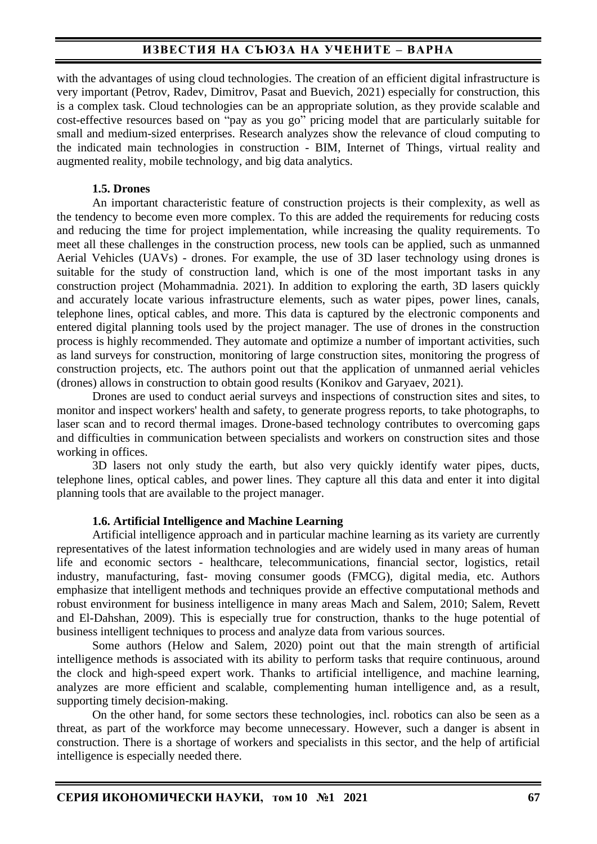# **ИЗВЕСТИЯ НА СЪЮЗА НА УЧЕНИТЕ – ВАРНА**

with the advantages of using cloud technologies. The creation of an efficient digital infrastructure is very important (Petrov, Radev, Dimitrov, Pasat and Buevich, 2021) especially for construction, this is a complex task. Cloud technologies can be an appropriate solution, as they provide scalable and cost-effective resources based on "pay as you go" pricing model that are particularly suitable for small and medium-sized enterprises. Research analyzes show the relevance of cloud computing to the indicated main technologies in construction - BIM, Internet of Things, virtual reality and augmented reality, mobile technology, and big data analytics.

#### **1.5. Drones**

An important characteristic feature of construction projects is their complexity, as well as the tendency to become even more complex. To this are added the requirements for reducing costs and reducing the time for project implementation, while increasing the quality requirements. To meet all these challenges in the construction process, new tools can be applied, such as unmanned Aerial Vehicles (UAVs) - drones. For example, the use of 3D laser technology using drones is suitable for the study of construction land, which is one of the most important tasks in any construction project (Mohammadnia. 2021). In addition to exploring the earth, 3D lasers quickly and accurately locate various infrastructure elements, such as water pipes, power lines, canals, telephone lines, optical cables, and more. This data is captured by the electronic components and entered digital planning tools used by the project manager. The use of drones in the construction process is highly recommended. They automate and optimize a number of important activities, such as land surveys for construction, monitoring of large construction sites, monitoring the progress of construction projects, etc. The authors point out that the application of unmanned aerial vehicles (drones) allows in construction to obtain good results (Konikov and Garyaev, 2021).

Drones are used to conduct aerial surveys and inspections of construction sites and sites, to monitor and inspect workers' health and safety, to generate progress reports, to take photographs, to laser scan and to record thermal images. Drone-based technology contributes to overcoming gaps and difficulties in communication between specialists and workers on construction sites and those working in offices.

3D lasers not only study the earth, but also very quickly identify water pipes, ducts, telephone lines, optical cables, and power lines. They capture all this data and enter it into digital planning tools that are available to the project manager.

#### **1.6. Artificial Intelligence and Machine Learning**

Artificial intelligence approach and in particular machine learning as its variety are currently representatives of the latest information technologies and are widely used in many areas of human life and economic sectors - healthcare, telecommunications, financial sector, logistics, retail industry, manufacturing, fast- moving consumer goods (FMCG), digital media, etc. Authors emphasize that intelligent methods and techniques provide an effective computational methods and robust environment for business intelligence in many areas Mach and Salem, 2010; Salem, Revett and El-Dahshan, 2009). This is especially true for construction, thanks to the huge potential of business intelligent techniques to process and analyze data from various sources.

Some authors (Helow and Salem, 2020) point out that the main strength of artificial intelligence methods is associated with its ability to perform tasks that require continuous, around the clock and high-speed expert work. Thanks to artificial intelligence, and machine learning, analyzes are more efficient and scalable, complementing human intelligence and, as a result, supporting timely decision-making.

On the other hand, for some sectors these technologies, incl. robotics can also be seen as a threat, as part of the workforce may become unnecessary. However, such a danger is absent in construction. There is a shortage of workers and specialists in this sector, and the help of artificial intelligence is especially needed there.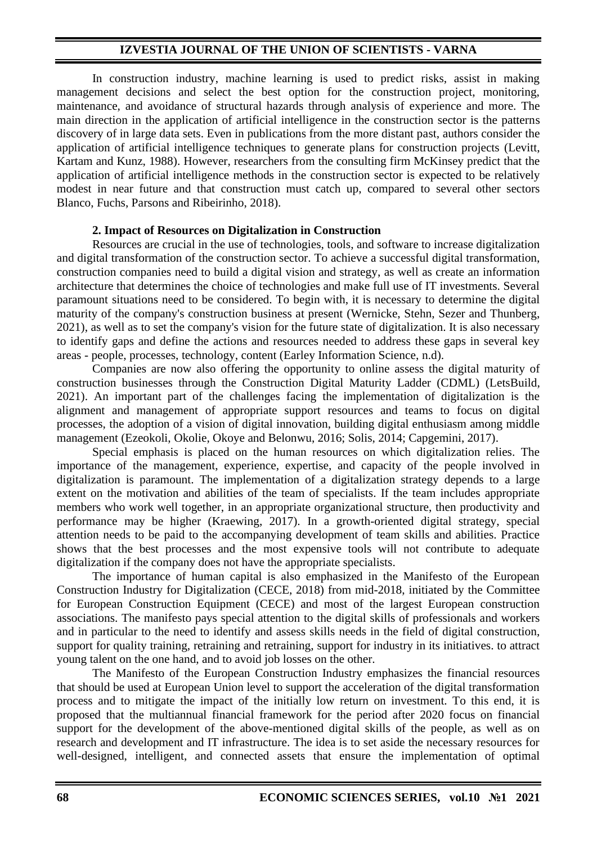In construction industry, machine learning is used to predict risks, assist in making management decisions and select the best option for the construction project, monitoring, maintenance, and avoidance of structural hazards through analysis of experience and more. The main direction in the application of artificial intelligence in the construction sector is the patterns discovery of in large data sets. Even in publications from the more distant past, authors consider the application of artificial intelligence techniques to generate plans for construction projects (Levitt, Kartam and Kunz, 1988). However, researchers from the consulting firm McKinsey predict that the application of artificial intelligence methods in the construction sector is expected to be relatively modest in near future and that construction must catch up, compared to several other sectors Blanco, Fuchs, Parsons and Ribeirinho, 2018).

#### **2. Impact of Resources on Digitalization in Construction**

Resources are crucial in the use of technologies, tools, and software to increase digitalization and digital transformation of the construction sector. To achieve a successful digital transformation, construction companies need to build a digital vision and strategy, as well as create an information architecture that determines the choice of technologies and make full use of IT investments. Several paramount situations need to be considered. To begin with, it is necessary to determine the digital maturity of the company's construction business at present (Wernicke, Stehn, Sezer and Thunberg, 2021), as well as to set the company's vision for the future state of digitalization. It is also necessary to identify gaps and define the actions and resources needed to address these gaps in several key areas - people, processes, technology, content (Earley Information Science, n.d).

Companies are now also offering the opportunity to online assess the digital maturity of construction businesses through the Construction Digital Maturity Ladder (CDML) (LetsBuild, 2021). An important part of the challenges facing the implementation of digitalization is the alignment and management of appropriate support resources and teams to focus on digital processes, the adoption of a vision of digital innovation, building digital enthusiasm among middle management (Ezeokoli, Okolie, Okoye and Belonwu, 2016; Solis, 2014; Capgemini, 2017).

Special emphasis is placed on the human resources on which digitalization relies. The importance of the management, experience, expertise, and capacity of the people involved in digitalization is paramount. The implementation of a digitalization strategy depends to a large extent on the motivation and abilities of the team of specialists. If the team includes appropriate members who work well together, in an appropriate organizational structure, then productivity and performance may be higher (Kraewing, 2017). In a growth-oriented digital strategy, special attention needs to be paid to the accompanying development of team skills and abilities. Practice shows that the best processes and the most expensive tools will not contribute to adequate digitalization if the company does not have the appropriate specialists.

The importance of human capital is also emphasized in the Manifesto of the European Construction Industry for Digitalization (CECE, 2018) from mid-2018, initiated by the Committee for European Construction Equipment (CECE) and most of the largest European construction associations. The manifesto pays special attention to the digital skills of professionals and workers and in particular to the need to identify and assess skills needs in the field of digital construction, support for quality training, retraining and retraining, support for industry in its initiatives. to attract young talent on the one hand, and to avoid job losses on the other.

The Manifesto of the European Construction Industry emphasizes the financial resources that should be used at European Union level to support the acceleration of the digital transformation process and to mitigate the impact of the initially low return on investment. To this end, it is proposed that the multiannual financial framework for the period after 2020 focus on financial support for the development of the above-mentioned digital skills of the people, as well as on research and development and IT infrastructure. The idea is to set aside the necessary resources for well-designed, intelligent, and connected assets that ensure the implementation of optimal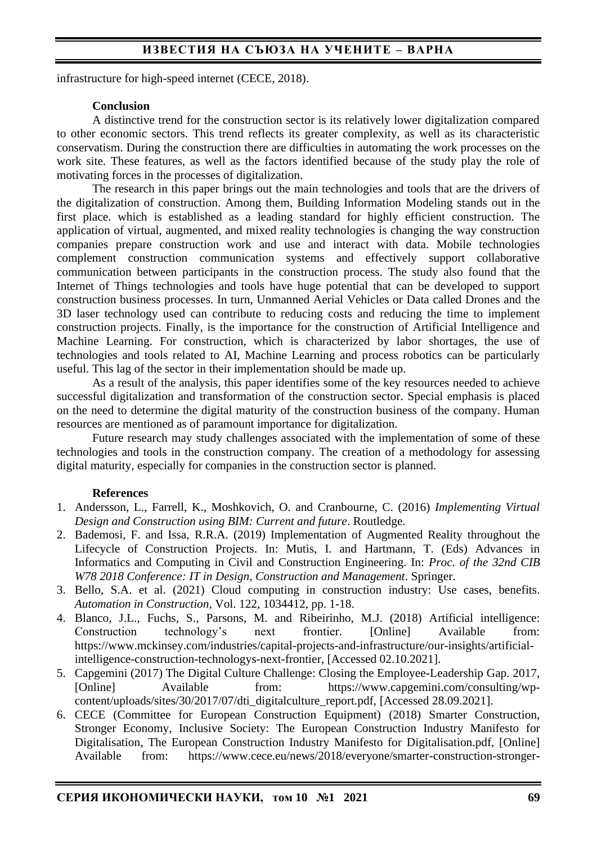# **ИЗВЕСТИЯ НА СЪЮЗА НА УЧЕНИТЕ – ВАРНА**

infrastructure for high-speed internet (CECE, 2018).

#### **Conclusion**

A distinctive trend for the construction sector is its relatively lower digitalization compared to other economic sectors. This trend reflects its greater complexity, as well as its characteristic conservatism. During the construction there are difficulties in automating the work processes on the work site. These features, as well as the factors identified because of the study play the role of motivating forces in the processes of digitalization.

The research in this paper brings out the main technologies and tools that are the drivers of the digitalization of construction. Among them, Building Information Modeling stands out in the first place. which is established as a leading standard for highly efficient construction. The application of virtual, augmented, and mixed reality technologies is changing the way construction companies prepare construction work and use and interact with data. Mobile technologies complement construction communication systems and effectively support collaborative communication between participants in the construction process. The study also found that the Internet of Things technologies and tools have huge potential that can be developed to support construction business processes. In turn, Unmanned Aerial Vehicles or Data called Drones and the 3D laser technology used can contribute to reducing costs and reducing the time to implement construction projects. Finally, is the importance for the construction of Artificial Intelligence and Machine Learning. For construction, which is characterized by labor shortages, the use of technologies and tools related to AI, Machine Learning and process robotics can be particularly useful. This lag of the sector in their implementation should be made up.

As a result of the analysis, this paper identifies some of the key resources needed to achieve successful digitalization and transformation of the construction sector. Special emphasis is placed on the need to determine the digital maturity of the construction business of the company. Human resources are mentioned as of paramount importance for digitalization.

Future research may study challenges associated with the implementation of some of these technologies and tools in the construction company. Тhe creation of a methodology for assessing digital maturity, especially for companies in the construction sector is planned.

#### **References**

- 1. Andersson, L., Farrell, K., Moshkovich, O. and Cranbourne, C. (2016) *Implementing Virtual Design and Construction using BIM: Current and future*. Routledge.
- 2. Bademosi, F. and Issa, R.R.A. (2019) Implementation of Augmented Reality throughout the Lifecycle of Construction Projects. In: Mutis, I. and Hartmann, T. (Eds) Advances in Informatics and Computing in Civil and Construction Engineering. In: *Proc. of the 32nd CIB W78 2018 Conference: IT in Design, Construction and Management*. Springer.
- 3. Bello, S.A. et al. (2021) Cloud computing in construction industry: Use cases, benefits. *Automation in Construction*, Vol. 122, 1034412, pp. 1-18.
- 4. Blanco, J.L., Fuchs, S., Parsons, M. and Ribeirinho, M.J. (2018) Artificial intelligence: Construction technology's next frontier. [Online] Available from: https://www.mckinsey.com/industries/capital-projects-and-infrastructure/our-insights/artificialintelligence-construction-technologys-next-frontier, [Accessed 02.10.2021].
- 5. Capgemini (2017) The Digital Culture Challenge: Closing the Employee-Leadership Gap. 2017, [Online] Available from: https://www.capgemini.com/consulting/wpcontent/uploads/sites/30/2017/07/dti\_digitalculture\_report.pdf, [Accessed 28.09.2021].
- 6. CECE (Committee for European Construction Equipment) (2018) Smarter Construction, Stronger Economy, Inclusive Society: The European Construction Industry Manifesto for Digitalisation, The European Construction Industry Manifesto for Digitalisation.pdf, [Online] Available from: https://www.cece.eu/news/2018/everyone/smarter-construction-stronger-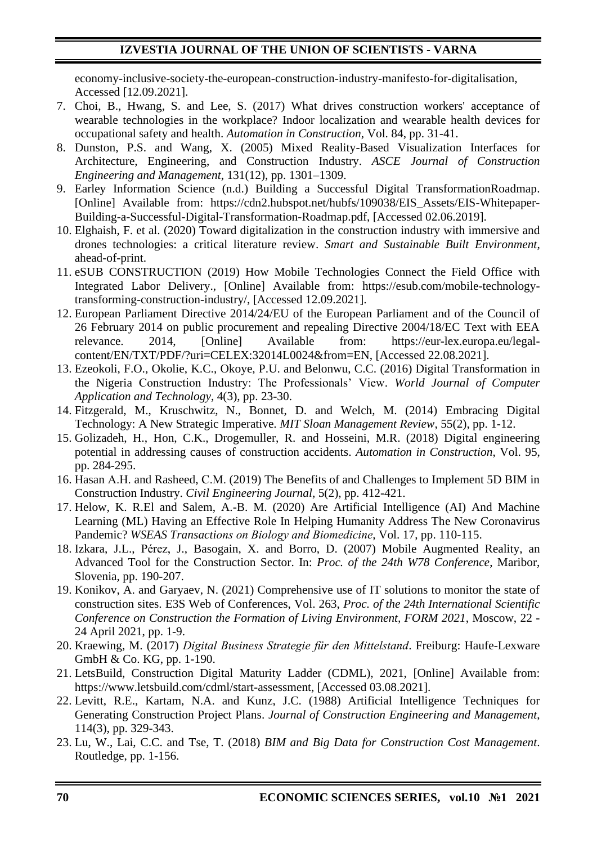economy-inclusive-society-the-european-construction-industry-manifesto-for-digitalisation, Accessed [12.09.2021].

- 7. Choi, B., Hwang, S. and Lee, S. (2017) What drives construction workers' acceptance of wearable technologies in the workplace? Indoor localization and wearable health devices for occupational safety and health. *Automation in Construction*, Vol. 84, pp. 31-41.
- 8. Dunston, P.S. and Wang, X. (2005) Mixed Reality-Based Visualization Interfaces for Architecture, Engineering, and Construction Industry. *ASCE Journal of Construction Engineering and Management*, 131(12), pp. 1301–1309.
- 9. Earley Information Science (n.d.) Building a Successful Digital TransformationRoadmap. [Online] Available from: https://cdn2.hubspot.net/hubfs/109038/EIS\_Assets/EIS-Whitepaper-Building-a-Successful-Digital-Transformation-Roadmap.pdf, [Accessed 02.06.2019].
- 10. Elghaish, F. et al. (2020) Toward digitalization in the construction industry with immersive and drones technologies: a critical literature review. *Smart and Sustainable Built Environment*, ahead-of-print.
- 11. eSUB CONSTRUCTION (2019) How Mobile Technologies Connect the Field Office with Integrated Labor Delivery., [Online] Available from: https://esub.com/mobile-technologytransforming-construction-industry/, [Accessed 12.09.2021].
- 12. European Parliament Directive 2014/24/EU of the European Parliament and of the Council of 26 February 2014 on public procurement and repealing Directive 2004/18/EC Text with EEA relevance. 2014, [Online] Available from: https://eur-lex.europa.eu/legalcontent/EN/TXT/PDF/?uri=CELEX:32014L0024&from=EN, [Accessed 22.08.2021].
- 13. Ezeokoli, F.O., Okolie, K.C., Okoye, P.U. and Belonwu, C.C. (2016) Digital Transformation in the Nigeria Construction Industry: The Professionals' View. *World Journal of Computer Application and Technology*, 4(3), pp. 23-30.
- 14. Fitzgerald, M., Kruschwitz, N., Bonnet, D. and Welch, M. (2014) Embracing Digital Technology: A New Strategic Imperative. *MIT Sloan Management Review*, 55(2), pp. 1-12.
- 15. Golizadeh, H., Hon, C.K., Drogemuller, R. and Hosseini, M.R. (2018) Digital engineering potential in addressing causes of construction accidents. *Automation in Construction*, Vol. 95, pp. 284-295.
- 16. Hasan А.Н. and Rasheed, С.М. (2019) The Benefits of and Challenges to Implement 5D BIM in Construction Industry. *Civil Engineering Journal*, 5(2), pp. 412-421.
- 17. Helow, K. R.El and Salem, A.-B. M. (2020) Are Artificial Intelligence (AI) And Machine Learning (ML) Having an Effective Role In Helping Humanity Address The New Coronavirus Pandemic? *WSEAS Transactions оn Biology аnd Biomedicine*, Vol. 17, pp. 110-115.
- 18. Izkara, J.L., Pérez, J., Basogain, X. and Borro, D. (2007) Mobile Augmented Reality, an Advanced Tool for the Construction Sector. In: *Proc. of the 24th W78 Conference*, Maribor, Slovenia, pp. 190-207.
- 19. Konikov, A. and Garyaev, N. (2021) Comprehensive use of IT solutions to monitor the state of construction sites. E3S Web of Conferences, Vol. 263, *Proc. of the 24th International Scientific Conference on Construction the Formation of Living Environment, FORM 2021*, Moscow, 22 - 24 April 2021, pp. 1-9.
- 20. Kraewing, M. (2017) *Digital Business Strategie für den Mittelstand*. Freiburg: Haufe-Lexware GmbH & Co. KG, pp. 1-190.
- 21. LetsBuild, Construction Digital Maturity Ladder (CDML), 2021, [Online] Available from: https://www.letsbuild.com/cdml/start-assessment, [Accessed 03.08.2021].
- 22. Levitt, R.E., Kartam, N.A. and Kunz, J.C. (1988) Artificial Intelligence Techniques for Generating Construction Project Plans. *Journal of Construction Engineering and Management*, 114(3), pp. 329-343.
- 23. Lu, W., Lai, C.C. and Tse, T. (2018) *BIM and Big Data for Construction Cost Management*. Routledge, pp. 1-156.